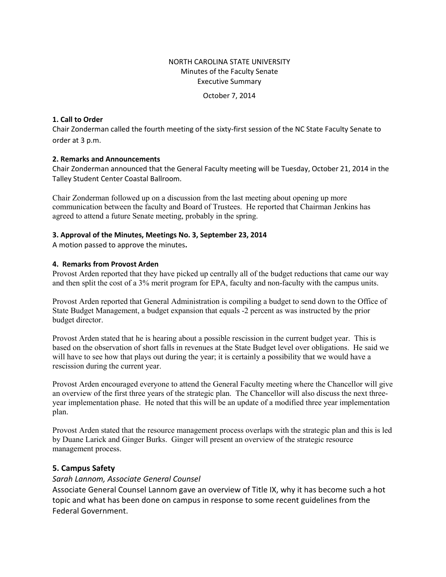### NORTH CAROLINA STATE UNIVERSITY Minutes of the Faculty Senate Executive Summary

October 7, 2014

#### **1. Call to Order**

Chair Zonderman called the fourth meeting of the sixty-first session of the NC State Faculty Senate to order at 3 p.m.

#### **2. Remarks and Announcements**

Chair Zonderman announced that the General Faculty meeting will be Tuesday, October 21, 2014 in the Talley Student Center Coastal Ballroom.

Chair Zonderman followed up on a discussion from the last meeting about opening up more communication between the faculty and Board of Trustees. He reported that Chairman Jenkins has agreed to attend a future Senate meeting, probably in the spring.

#### **3. Approval of the Minutes, Meetings No. 3, September 23, 2014**

A motion passed to approve the minutes**.** 

#### **4. Remarks from Provost Arden**

Provost Arden reported that they have picked up centrally all of the budget reductions that came our way and then split the cost of a 3% merit program for EPA, faculty and non-faculty with the campus units.

Provost Arden reported that General Administration is compiling a budget to send down to the Office of State Budget Management, a budget expansion that equals -2 percent as was instructed by the prior budget director.

Provost Arden stated that he is hearing about a possible rescission in the current budget year. This is based on the observation of short falls in revenues at the State Budget level over obligations. He said we will have to see how that plays out during the year; it is certainly a possibility that we would have a rescission during the current year.

Provost Arden encouraged everyone to attend the General Faculty meeting where the Chancellor will give an overview of the first three years of the strategic plan. The Chancellor will also discuss the next threeyear implementation phase. He noted that this will be an update of a modified three year implementation plan.

Provost Arden stated that the resource management process overlaps with the strategic plan and this is led by Duane Larick and Ginger Burks. Ginger will present an overview of the strategic resource management process.

### **5. Campus Safety**

### *Sarah Lannom, Associate General Counsel*

Associate General Counsel Lannom gave an overview of Title IX, why it has become such a hot topic and what has been done on campus in response to some recent guidelines from the Federal Government.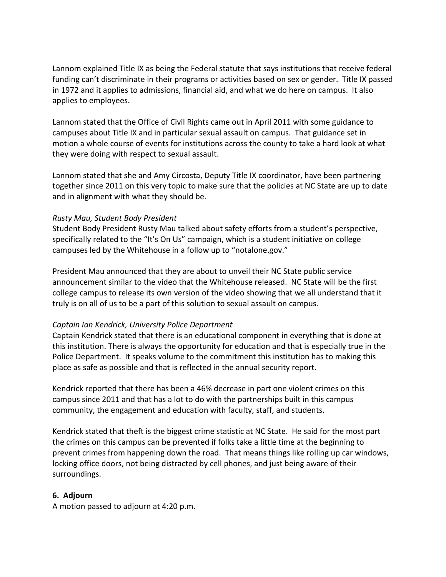Lannom explained Title IX as being the Federal statute that says institutions that receive federal funding can't discriminate in their programs or activities based on sex or gender. Title IX passed in 1972 and it applies to admissions, financial aid, and what we do here on campus. It also applies to employees.

Lannom stated that the Office of Civil Rights came out in April 2011 with some guidance to campuses about Title IX and in particular sexual assault on campus. That guidance set in motion a whole course of events for institutions across the county to take a hard look at what they were doing with respect to sexual assault.

Lannom stated that she and Amy Circosta, Deputy Title IX coordinator, have been partnering together since 2011 on this very topic to make sure that the policies at NC State are up to date and in alignment with what they should be.

## *Rusty Mau, Student Body President*

Student Body President Rusty Mau talked about safety efforts from a student's perspective, specifically related to the "It's On Us" campaign, which is a student initiative on college campuses led by the Whitehouse in a follow up to "notalone.gov."

President Mau announced that they are about to unveil their NC State public service announcement similar to the video that the Whitehouse released. NC State will be the first college campus to release its own version of the video showing that we all understand that it truly is on all of us to be a part of this solution to sexual assault on campus.

# *Captain Ian Kendrick, University Police Department*

Captain Kendrick stated that there is an educational component in everything that is done at this institution. There is always the opportunity for education and that is especially true in the Police Department. It speaks volume to the commitment this institution has to making this place as safe as possible and that is reflected in the annual security report.

Kendrick reported that there has been a 46% decrease in part one violent crimes on this campus since 2011 and that has a lot to do with the partnerships built in this campus community, the engagement and education with faculty, staff, and students.

Kendrick stated that theft is the biggest crime statistic at NC State. He said for the most part the crimes on this campus can be prevented if folks take a little time at the beginning to prevent crimes from happening down the road. That means things like rolling up car windows, locking office doors, not being distracted by cell phones, and just being aware of their surroundings.

# **6. Adjourn**

A motion passed to adjourn at 4:20 p.m.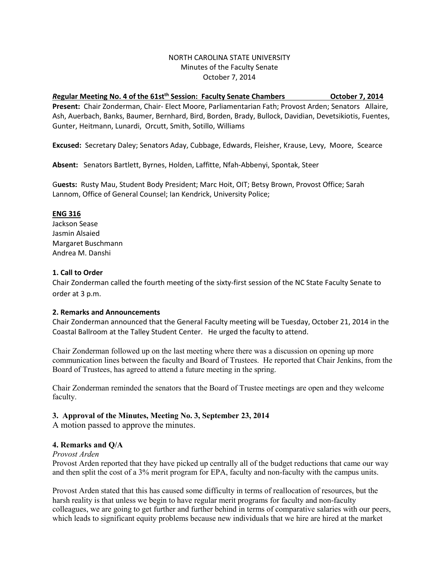### NORTH CAROLINA STATE UNIVERSITY Minutes of the Faculty Senate October 7, 2014

#### *R*egular Meeting No. 4 of the 61st<sup>th</sup> Session: Faculty Senate Chambers **Canadian Company 12014**

**Present:** Chair Zonderman, Chair- Elect Moore, Parliamentarian Fath; Provost Arden; Senators Allaire, Ash, Auerbach, Banks, Baumer, Bernhard, Bird, Borden, Brady, Bullock, Davidian, Devetsikiotis, Fuentes, Gunter, Heitmann, Lunardi, Orcutt, Smith, Sotillo, Williams

**Excused:** Secretary Daley; Senators Aday, Cubbage, Edwards, Fleisher, Krause, Levy, Moore, Scearce

**Absent:** Senators Bartlett, Byrnes, Holden, Laffitte, Nfah-Abbenyi, Spontak, Steer

G**uests:** Rusty Mau, Student Body President; Marc Hoit, OIT; Betsy Brown, Provost Office; Sarah Lannom, Office of General Counsel; Ian Kendrick, University Police;

#### **ENG 316**

Jackson Sease Jasmin Alsaied Margaret Buschmann Andrea M. Danshi

### **1. Call to Order**

Chair Zonderman called the fourth meeting of the sixty-first session of the NC State Faculty Senate to order at 3 p.m.

### **2. Remarks and Announcements**

Chair Zonderman announced that the General Faculty meeting will be Tuesday, October 21, 2014 in the Coastal Ballroom at the Talley Student Center. He urged the faculty to attend.

Chair Zonderman followed up on the last meeting where there was a discussion on opening up more communication lines between the faculty and Board of Trustees. He reported that Chair Jenkins, from the Board of Trustees, has agreed to attend a future meeting in the spring.

Chair Zonderman reminded the senators that the Board of Trustee meetings are open and they welcome faculty.

### **3. Approval of the Minutes, Meeting No. 3, September 23, 2014**

A motion passed to approve the minutes.

### **4. Remarks and Q/A**

#### *Provost Arden*

Provost Arden reported that they have picked up centrally all of the budget reductions that came our way and then split the cost of a 3% merit program for EPA, faculty and non-faculty with the campus units.

Provost Arden stated that this has caused some difficulty in terms of reallocation of resources, but the harsh reality is that unless we begin to have regular merit programs for faculty and non-faculty colleagues, we are going to get further and further behind in terms of comparative salaries with our peers, which leads to significant equity problems because new individuals that we hire are hired at the market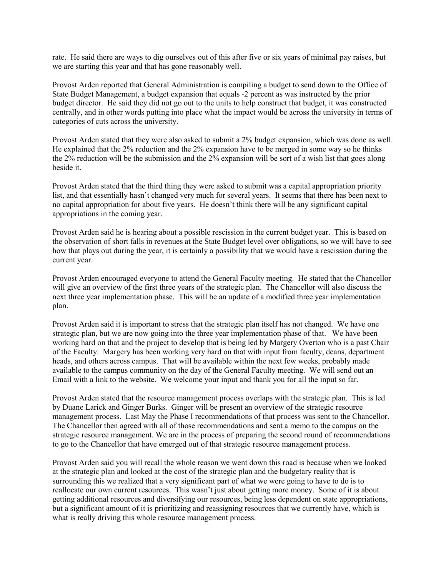rate. He said there are ways to dig ourselves out of this after five or six years of minimal pay raises, but we are starting this year and that has gone reasonably well.

Provost Arden reported that General Administration is compiling a budget to send down to the Office of State Budget Management, a budget expansion that equals -2 percent as was instructed by the prior budget director. He said they did not go out to the units to help construct that budget, it was constructed centrally, and in other words putting into place what the impact would be across the university in terms of categories of cuts across the university.

Provost Arden stated that they were also asked to submit a 2% budget expansion, which was done as well. He explained that the 2% reduction and the 2% expansion have to be merged in some way so he thinks the 2% reduction will be the submission and the 2% expansion will be sort of a wish list that goes along beside it.

Provost Arden stated that the third thing they were asked to submit was a capital appropriation priority list, and that essentially hasn't changed very much for several years. It seems that there has been next to no capital appropriation for about five years. He doesn't think there will be any significant capital appropriations in the coming year.

Provost Arden said he is hearing about a possible rescission in the current budget year. This is based on the observation of short falls in revenues at the State Budget level over obligations, so we will have to see how that plays out during the year, it is certainly a possibility that we would have a rescission during the current year.

Provost Arden encouraged everyone to attend the General Faculty meeting. He stated that the Chancellor will give an overview of the first three years of the strategic plan. The Chancellor will also discuss the next three year implementation phase. This will be an update of a modified three year implementation plan.

Provost Arden said it is important to stress that the strategic plan itself has not changed. We have one strategic plan, but we are now going into the three year implementation phase of that. We have been working hard on that and the project to develop that is being led by Margery Overton who is a past Chair of the Faculty. Margery has been working very hard on that with input from faculty, deans, department heads, and others across campus. That will be available within the next few weeks, probably made available to the campus community on the day of the General Faculty meeting. We will send out an Email with a link to the website. We welcome your input and thank you for all the input so far.

Provost Arden stated that the resource management process overlaps with the strategic plan. This is led by Duane Larick and Ginger Burks. Ginger will be present an overview of the strategic resource management process. Last May the Phase I recommendations of that process was sent to the Chancellor. The Chancellor then agreed with all of those recommendations and sent a memo to the campus on the strategic resource management. We are in the process of preparing the second round of recommendations to go to the Chancellor that have emerged out of that strategic resource management process.

Provost Arden said you will recall the whole reason we went down this road is because when we looked at the strategic plan and looked at the cost of the strategic plan and the budgetary reality that is surrounding this we realized that a very significant part of what we were going to have to do is to reallocate our own current resources. This wasn't just about getting more money. Some of it is about getting additional resources and diversifying our resources, being less dependent on state appropriations, but a significant amount of it is prioritizing and reassigning resources that we currently have, which is what is really driving this whole resource management process.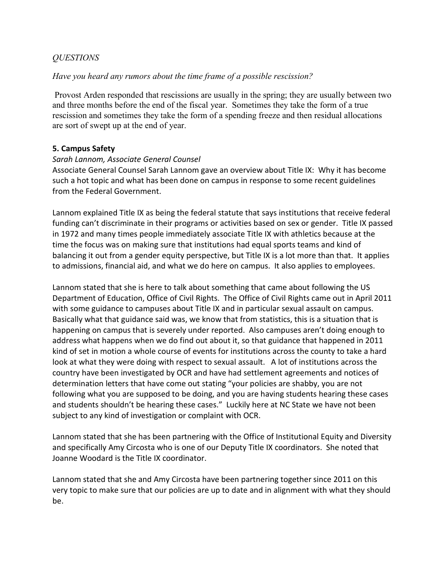# *QUESTIONS*

## *Have you heard any rumors about the time frame of a possible rescission?*

Provost Arden responded that rescissions are usually in the spring; they are usually between two and three months before the end of the fiscal year. Sometimes they take the form of a true rescission and sometimes they take the form of a spending freeze and then residual allocations are sort of swept up at the end of year.

## **5. Campus Safety**

## *Sarah Lannom, Associate General Counsel*

Associate General Counsel Sarah Lannom gave an overview about Title IX: Why it has become such a hot topic and what has been done on campus in response to some recent guidelines from the Federal Government.

Lannom explained Title IX as being the federal statute that says institutions that receive federal funding can't discriminate in their programs or activities based on sex or gender. Title IX passed in 1972 and many times people immediately associate Title IX with athletics because at the time the focus was on making sure that institutions had equal sports teams and kind of balancing it out from a gender equity perspective, but Title IX is a lot more than that. It applies to admissions, financial aid, and what we do here on campus. It also applies to employees.

Lannom stated that she is here to talk about something that came about following the US Department of Education, Office of Civil Rights. The Office of Civil Rights came out in April 2011 with some guidance to campuses about Title IX and in particular sexual assault on campus. Basically what that guidance said was, we know that from statistics, this is a situation that is happening on campus that is severely under reported. Also campuses aren't doing enough to address what happens when we do find out about it, so that guidance that happened in 2011 kind of set in motion a whole course of events for institutions across the county to take a hard look at what they were doing with respect to sexual assault. A lot of institutions across the country have been investigated by OCR and have had settlement agreements and notices of determination letters that have come out stating "your policies are shabby, you are not following what you are supposed to be doing, and you are having students hearing these cases and students shouldn't be hearing these cases." Luckily here at NC State we have not been subject to any kind of investigation or complaint with OCR.

Lannom stated that she has been partnering with the Office of Institutional Equity and Diversity and specifically Amy Circosta who is one of our Deputy Title IX coordinators. She noted that Joanne Woodard is the Title IX coordinator.

Lannom stated that she and Amy Circosta have been partnering together since 2011 on this very topic to make sure that our policies are up to date and in alignment with what they should be.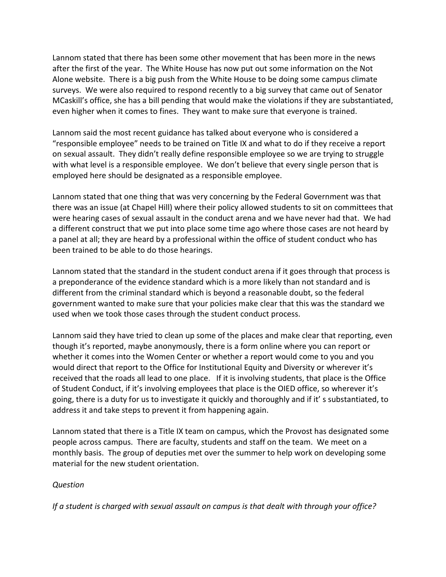Lannom stated that there has been some other movement that has been more in the news after the first of the year. The White House has now put out some information on the Not Alone website. There is a big push from the White House to be doing some campus climate surveys. We were also required to respond recently to a big survey that came out of Senator MCaskill's office, she has a bill pending that would make the violations if they are substantiated, even higher when it comes to fines. They want to make sure that everyone is trained.

Lannom said the most recent guidance has talked about everyone who is considered a "responsible employee" needs to be trained on Title IX and what to do if they receive a report on sexual assault. They didn't really define responsible employee so we are trying to struggle with what level is a responsible employee. We don't believe that every single person that is employed here should be designated as a responsible employee.

Lannom stated that one thing that was very concerning by the Federal Government was that there was an issue (at Chapel Hill) where their policy allowed students to sit on committees that were hearing cases of sexual assault in the conduct arena and we have never had that. We had a different construct that we put into place some time ago where those cases are not heard by a panel at all; they are heard by a professional within the office of student conduct who has been trained to be able to do those hearings.

Lannom stated that the standard in the student conduct arena if it goes through that process is a preponderance of the evidence standard which is a more likely than not standard and is different from the criminal standard which is beyond a reasonable doubt, so the federal government wanted to make sure that your policies make clear that this was the standard we used when we took those cases through the student conduct process.

Lannom said they have tried to clean up some of the places and make clear that reporting, even though it's reported, maybe anonymously, there is a form online where you can report or whether it comes into the Women Center or whether a report would come to you and you would direct that report to the Office for Institutional Equity and Diversity or wherever it's received that the roads all lead to one place. If it is involving students, that place is the Office of Student Conduct, if it's involving employees that place is the OIED office, so wherever it's going, there is a duty for us to investigate it quickly and thoroughly and if it' s substantiated, to address it and take steps to prevent it from happening again.

Lannom stated that there is a Title IX team on campus, which the Provost has designated some people across campus. There are faculty, students and staff on the team. We meet on a monthly basis. The group of deputies met over the summer to help work on developing some material for the new student orientation.

# *Question*

*If a student is charged with sexual assault on campus is that dealt with through your office?*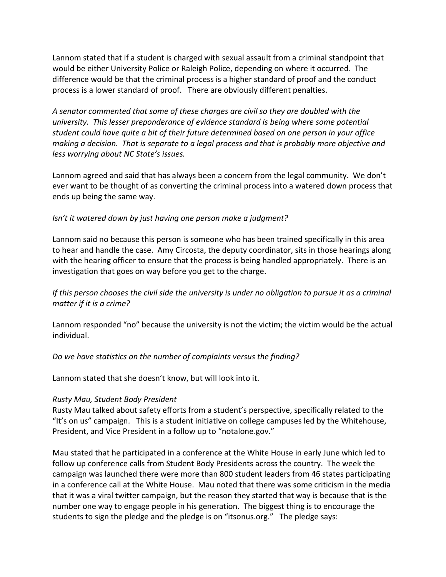Lannom stated that if a student is charged with sexual assault from a criminal standpoint that would be either University Police or Raleigh Police, depending on where it occurred. The difference would be that the criminal process is a higher standard of proof and the conduct process is a lower standard of proof. There are obviously different penalties.

*A senator commented that some of these charges are civil so they are doubled with the university. This lesser preponderance of evidence standard is being where some potential student could have quite a bit of their future determined based on one person in your office making a decision. That is separate to a legal process and that is probably more objective and less worrying about NC State's issues.* 

Lannom agreed and said that has always been a concern from the legal community. We don't ever want to be thought of as converting the criminal process into a watered down process that ends up being the same way.

## *Isn't it watered down by just having one person make a judgment?*

Lannom said no because this person is someone who has been trained specifically in this area to hear and handle the case. Amy Circosta, the deputy coordinator, sits in those hearings along with the hearing officer to ensure that the process is being handled appropriately. There is an investigation that goes on way before you get to the charge.

*If this person chooses the civil side the university is under no obligation to pursue it as a criminal matter if it is a crime?*

Lannom responded "no" because the university is not the victim; the victim would be the actual individual.

## *Do we have statistics on the number of complaints versus the finding?*

Lannom stated that she doesn't know, but will look into it.

## *Rusty Mau, Student Body President*

Rusty Mau talked about safety efforts from a student's perspective, specifically related to the "It's on us" campaign. This is a student initiative on college campuses led by the Whitehouse, President, and Vice President in a follow up to "notalone.gov."

Mau stated that he participated in a conference at the White House in early June which led to follow up conference calls from Student Body Presidents across the country. The week the campaign was launched there were more than 800 student leaders from 46 states participating in a conference call at the White House. Mau noted that there was some criticism in the media that it was a viral twitter campaign, but the reason they started that way is because that is the number one way to engage people in his generation. The biggest thing is to encourage the students to sign the pledge and the pledge is on "itsonus.org." The pledge says: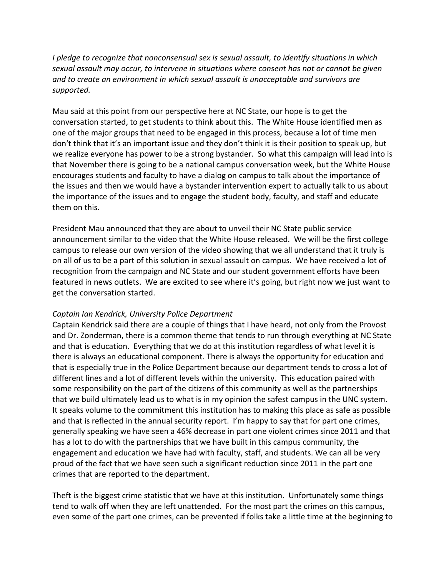*I pledge to recognize that nonconsensual sex is sexual assault, to identify situations in which sexual assault may occur, to intervene in situations where consent has not or cannot be given and to create an environment in which sexual assault is unacceptable and survivors are supported.*

Mau said at this point from our perspective here at NC State, our hope is to get the conversation started, to get students to think about this. The White House identified men as one of the major groups that need to be engaged in this process, because a lot of time men don't think that it's an important issue and they don't think it is their position to speak up, but we realize everyone has power to be a strong bystander. So what this campaign will lead into is that November there is going to be a national campus conversation week, but the White House encourages students and faculty to have a dialog on campus to talk about the importance of the issues and then we would have a bystander intervention expert to actually talk to us about the importance of the issues and to engage the student body, faculty, and staff and educate them on this.

President Mau announced that they are about to unveil their NC State public service announcement similar to the video that the White House released. We will be the first college campus to release our own version of the video showing that we all understand that it truly is on all of us to be a part of this solution in sexual assault on campus. We have received a lot of recognition from the campaign and NC State and our student government efforts have been featured in news outlets. We are excited to see where it's going, but right now we just want to get the conversation started.

## *Captain Ian Kendrick, University Police Department*

Captain Kendrick said there are a couple of things that I have heard, not only from the Provost and Dr. Zonderman, there is a common theme that tends to run through everything at NC State and that is education. Everything that we do at this institution regardless of what level it is there is always an educational component. There is always the opportunity for education and that is especially true in the Police Department because our department tends to cross a lot of different lines and a lot of different levels within the university. This education paired with some responsibility on the part of the citizens of this community as well as the partnerships that we build ultimately lead us to what is in my opinion the safest campus in the UNC system. It speaks volume to the commitment this institution has to making this place as safe as possible and that is reflected in the annual security report. I'm happy to say that for part one crimes, generally speaking we have seen a 46% decrease in part one violent crimes since 2011 and that has a lot to do with the partnerships that we have built in this campus community, the engagement and education we have had with faculty, staff, and students. We can all be very proud of the fact that we have seen such a significant reduction since 2011 in the part one crimes that are reported to the department.

Theft is the biggest crime statistic that we have at this institution. Unfortunately some things tend to walk off when they are left unattended. For the most part the crimes on this campus, even some of the part one crimes, can be prevented if folks take a little time at the beginning to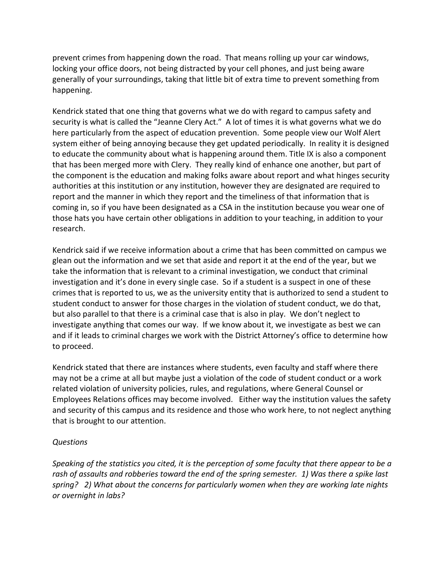prevent crimes from happening down the road. That means rolling up your car windows, locking your office doors, not being distracted by your cell phones, and just being aware generally of your surroundings, taking that little bit of extra time to prevent something from happening.

Kendrick stated that one thing that governs what we do with regard to campus safety and security is what is called the "Jeanne Clery Act." A lot of times it is what governs what we do here particularly from the aspect of education prevention. Some people view our Wolf Alert system either of being annoying because they get updated periodically. In reality it is designed to educate the community about what is happening around them. Title IX is also a component that has been merged more with Clery. They really kind of enhance one another, but part of the component is the education and making folks aware about report and what hinges security authorities at this institution or any institution, however they are designated are required to report and the manner in which they report and the timeliness of that information that is coming in, so if you have been designated as a CSA in the institution because you wear one of those hats you have certain other obligations in addition to your teaching, in addition to your research.

Kendrick said if we receive information about a crime that has been committed on campus we glean out the information and we set that aside and report it at the end of the year, but we take the information that is relevant to a criminal investigation, we conduct that criminal investigation and it's done in every single case. So if a student is a suspect in one of these crimes that is reported to us, we as the university entity that is authorized to send a student to student conduct to answer for those charges in the violation of student conduct, we do that, but also parallel to that there is a criminal case that is also in play. We don't neglect to investigate anything that comes our way. If we know about it, we investigate as best we can and if it leads to criminal charges we work with the District Attorney's office to determine how to proceed.

Kendrick stated that there are instances where students, even faculty and staff where there may not be a crime at all but maybe just a violation of the code of student conduct or a work related violation of university policies, rules, and regulations, where General Counsel or Employees Relations offices may become involved. Either way the institution values the safety and security of this campus and its residence and those who work here, to not neglect anything that is brought to our attention.

## *Questions*

*Speaking of the statistics you cited, it is the perception of some faculty that there appear to be a rash of assaults and robberies toward the end of the spring semester. 1) Was there a spike last spring? 2) What about the concerns for particularly women when they are working late nights or overnight in labs?*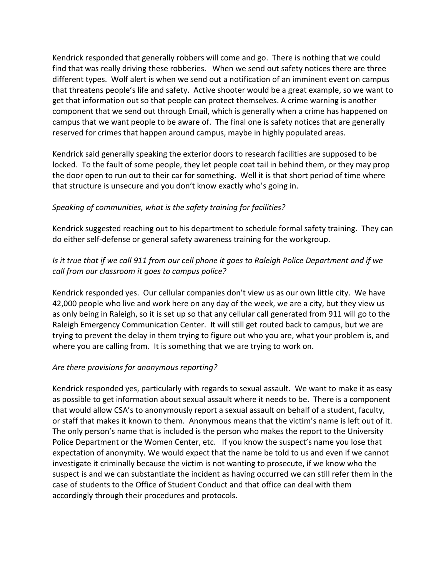Kendrick responded that generally robbers will come and go. There is nothing that we could find that was really driving these robberies. When we send out safety notices there are three different types. Wolf alert is when we send out a notification of an imminent event on campus that threatens people's life and safety. Active shooter would be a great example, so we want to get that information out so that people can protect themselves. A crime warning is another component that we send out through Email, which is generally when a crime has happened on campus that we want people to be aware of. The final one is safety notices that are generally reserved for crimes that happen around campus, maybe in highly populated areas.

Kendrick said generally speaking the exterior doors to research facilities are supposed to be locked. To the fault of some people, they let people coat tail in behind them, or they may prop the door open to run out to their car for something. Well it is that short period of time where that structure is unsecure and you don't know exactly who's going in.

# *Speaking of communities, what is the safety training for facilities?*

Kendrick suggested reaching out to his department to schedule formal safety training. They can do either self-defense or general safety awareness training for the workgroup.

# *Is it true that if we call 911 from our cell phone it goes to Raleigh Police Department and if we call from our classroom it goes to campus police?*

Kendrick responded yes. Our cellular companies don't view us as our own little city. We have 42,000 people who live and work here on any day of the week, we are a city, but they view us as only being in Raleigh, so it is set up so that any cellular call generated from 911 will go to the Raleigh Emergency Communication Center. It will still get routed back to campus, but we are trying to prevent the delay in them trying to figure out who you are, what your problem is, and where you are calling from. It is something that we are trying to work on.

# *Are there provisions for anonymous reporting?*

Kendrick responded yes, particularly with regards to sexual assault. We want to make it as easy as possible to get information about sexual assault where it needs to be. There is a component that would allow CSA's to anonymously report a sexual assault on behalf of a student, faculty, or staff that makes it known to them. Anonymous means that the victim's name is left out of it. The only person's name that is included is the person who makes the report to the University Police Department or the Women Center, etc. If you know the suspect's name you lose that expectation of anonymity. We would expect that the name be told to us and even if we cannot investigate it criminally because the victim is not wanting to prosecute, if we know who the suspect is and we can substantiate the incident as having occurred we can still refer them in the case of students to the Office of Student Conduct and that office can deal with them accordingly through their procedures and protocols.